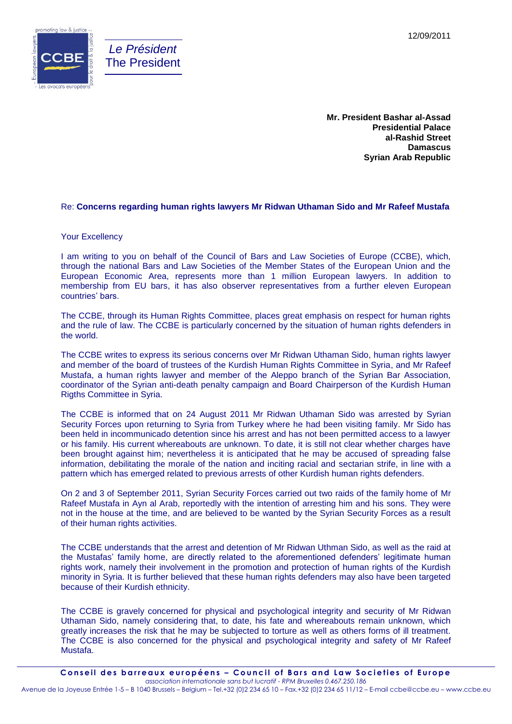



**Mr. President Bashar al-Assad Presidential Palace al-Rashid Street Damascus Syrian Arab Republic**

## Re: **Concerns regarding human rights lawyers Mr Ridwan Uthaman Sido and Mr Rafeef Mustafa**

## Your Excellency

I am writing to you on behalf of the Council of Bars and Law Societies of Europe (CCBE), which, through the national Bars and Law Societies of the Member States of the European Union and the European Economic Area, represents more than 1 million European lawyers. In addition to membership from EU bars, it has also observer representatives from a further eleven European countries' bars.

The CCBE, through its Human Rights Committee, places great emphasis on respect for human rights and the rule of law. The CCBE is particularly concerned by the situation of human rights defenders in the world.

The CCBE writes to express its serious concerns over Mr Ridwan Uthaman Sido, human rights lawyer and member of the board of trustees of the Kurdish Human Rights Committee in Syria, and Mr Rafeef Mustafa, a human rights lawyer and member of the Aleppo branch of the Syrian Bar Association, coordinator of the Syrian anti-death penalty campaign and Board Chairperson of the Kurdish Human Rigths Committee in Syria.

The CCBE is informed that on 24 August 2011 Mr Ridwan Uthaman Sido was arrested by Syrian Security Forces upon returning to Syria from Turkey where he had been visiting family. Mr Sido has been held in incommunicado detention since his arrest and has not been permitted access to a lawyer or his family. His current whereabouts are unknown. To date, it is still not clear whether charges have been brought against him; nevertheless it is anticipated that he may be accused of spreading false information, debilitating the morale of the nation and inciting racial and sectarian strife, in line with a pattern which has emerged related to previous arrests of other Kurdish human rights defenders.

On 2 and 3 of September 2011, Syrian Security Forces carried out two raids of the family home of Mr Rafeef Mustafa in Ayn al Arab, reportedly with the intention of arresting him and his sons. They were not in the house at the time, and are believed to be wanted by the Syrian Security Forces as a result of their human rights activities.

The CCBE understands that the arrest and detention of Mr Ridwan Uthman Sido, as well as the raid at the Mustafas' family home, are directly related to the aforementioned defenders' legitimate human rights work, namely their involvement in the promotion and protection of human rights of the Kurdish minority in Syria. It is further believed that these human rights defenders may also have been targeted because of their Kurdish ethnicity.

The CCBE is gravely concerned for physical and psychological integrity and security of Mr Ridwan Uthaman Sido, namely considering that, to date, his fate and whereabouts remain unknown, which greatly increases the risk that he may be subjected to torture as well as others forms of ill treatment. The CCBE is also concerned for the physical and psychological integrity and safety of Mr Rafeef Mustafa.